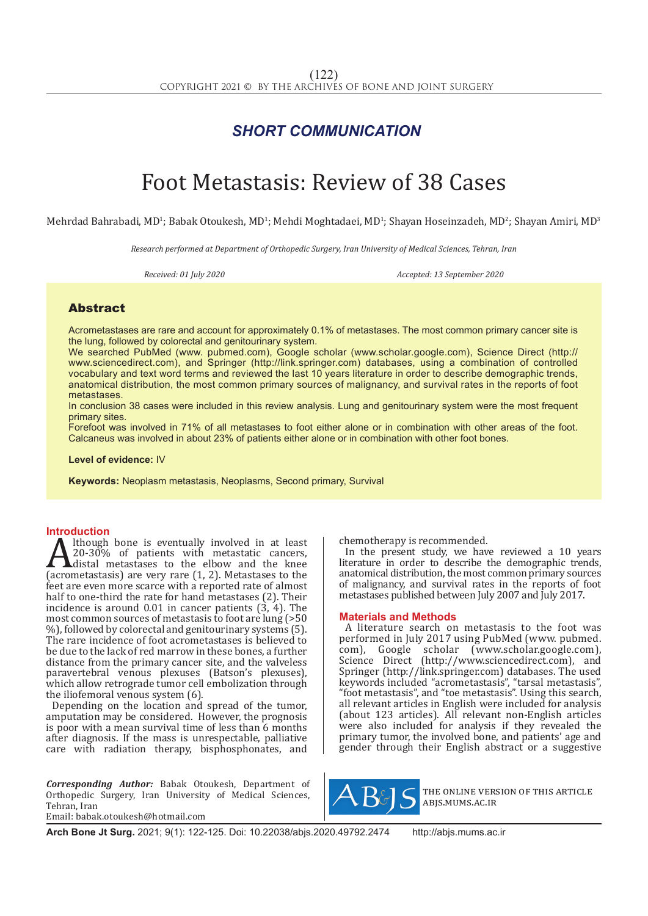## *SHORT COMMUNICATION*

# Foot Metastasis: Review of 38 Cases

Mehrdad Bahrabadi, MD½ Babak Otoukesh, MD½ Mehdi Moghtadaei, MD½ Shayan Hoseinzadeh, MD½ Shayan Amiri, MD $^{\circ}$ 

*Research performed at Department of Orthopedic Surgery, Iran University of Medical Sciences, Tehran, Iran* 

*Received: 01 July 2020 Accepted: 13 September 2020*

## Abstract

Acrometastases are rare and account for approximately 0.1% of metastases. The most common primary cancer site is the lung, followed by colorectal and genitourinary system.

We searched PubMed (www. pubmed.com), Google scholar (www.scholar.google.com), Science Direct (http:// www.sciencedirect.com), and Springer (http://link.springer.com) databases, using a combination of controlled vocabulary and text word terms and reviewed the last 10 years literature in order to describe demographic trends, anatomical distribution, the most common primary sources of malignancy, and survival rates in the reports of foot metastases.

In conclusion 38 cases were included in this review analysis. Lung and genitourinary system were the most frequent primary sites.

Forefoot was involved in 71% of all metastases to foot either alone or in combination with other areas of the foot. Calcaneus was involved in about 23% of patients either alone or in combination with other foot bones.

#### **Level of evidence:** IV

**Keywords:** Neoplasm metastasis, Neoplasms, Second primary, Survival

**Introduction**<br>**A** lthough bone is eventually involved in at least Although bone is eventually involved in at least<br>20-30% of patients with metastatic cancers,<br>distal metastases to the elbow and the knee<br>(acrometastasis) are very rare (1, 2). Metastases to the<br>feet are even more scarce w 20-30% of patients with metastatic cancers, Adistal metastases to the elbow and the knee (acrometastasis) are very rare (1, 2). Metastases to the feet are even more scarce with a reported rate of almost half to one-third the rate for hand metastases (2). Their incidence is around 0.01 in cancer patients  $(\hat{3}, \hat{4})$ . The most common sources of metastasis to foot are lung (>50 %), followed by colorectal and genitourinary systems (5). The rare incidence of foot acrometastases is believed to be due to the lack of red marrow in these bones, a further distance from the primary cancer site, and the valveless paravertebral venous plexuses (Batson's plexuses), which allow retrograde tumor cell embolization through the iliofemoral venous system (6).

Depending on the location and spread of the tumor, amputation may be considered. However, the prognosis is poor with a mean survival time of less than 6 months after diagnosis. If the mass is unrespectable, palliative care with radiation therapy, bisphosphonates, and

*Corresponding Author:* Babak Otoukesh, Department of Orthopedic Surgery, Iran University of Medical Sciences, Tehran, Iran Email: babak.otoukesh@hotmail.com

chemotherapy is recommended.

In the present study, we have reviewed a 10 years literature in order to describe the demographic trends, anatomical distribution, the most common primary sources of malignancy, and survival rates in the reports of foot metastases published between July 2007 and July 2017.

#### **Materials and Methods**

A literature search on metastasis to the foot was performed in July 2017 using PubMed (www. pubmed. com), Google scholar (www.scholar.google.com), Science Direct (http://www.sciencedirect.com), and Springer (http://link.springer.com) databases. The used keywords included "acrometastasis", "tarsal metastasis", "foot metastasis", and "toe metastasis". Using this search, all relevant articles in English were included for analysis (about 123 articles). All relevant non-English articles were also included for analysis if they revealed the primary tumor, the involved bone, and patients' age and gender through their English abstract or a suggestive



the online version of this article abjs.mums.ac.ir

**Arch Bone Jt Surg.** 2021; 9(1): 122-125. Doi: 10.22038/abjs.2020.49792.2474 http://abjs.mums.ac.ir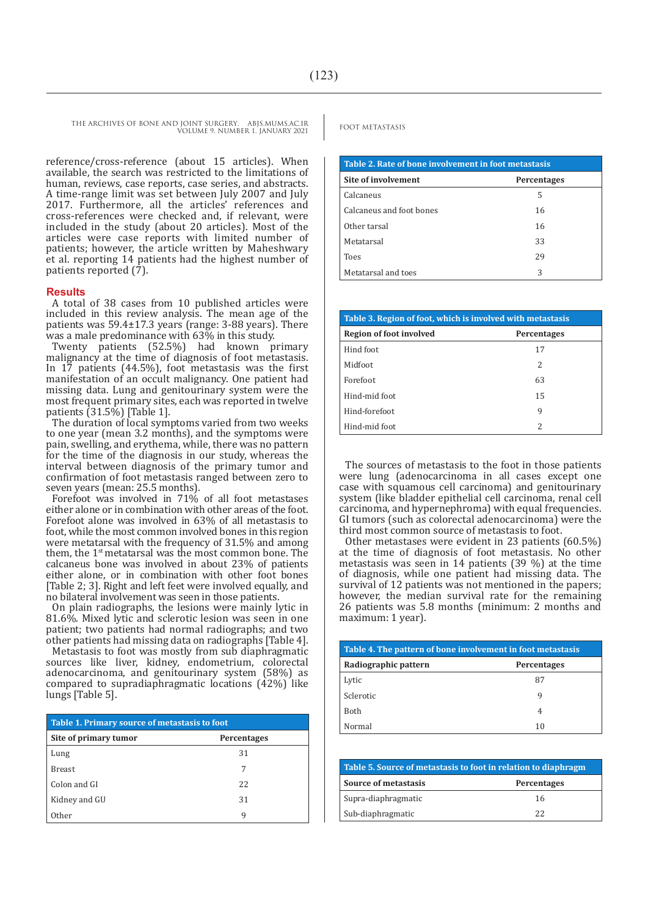FOOT METASTASIS THE ARCHIVES OF BONE AND JOINT SURGERY. ABJS.MUMS.AC.IR VOLUME 9. NUMBER 1. JANUARY 2021

reference/cross-reference (about 15 articles). When available, the search was restricted to the limitations of human, reviews, case reports, case series, and abstracts. A time-range limit was set between July 2007 and July 2017. Furthermore, all the articles' references and cross-references were checked and, if relevant, were included in the study (about 20 articles). Most of the articles were case reports with limited number of patients; however, the article written by Maheshwary et al. reporting 14 patients had the highest number of patients reported (7).

#### **Results**

A total of 38 cases from 10 published articles were included in this review analysis. The mean age of the patients was 59.4±17.3 years (range: 3-88 years). There was a male predominance with 63% in this study.

Twenty patients (52.5%) had known primary malignancy at the time of diagnosis of foot metastasis. In 17 patients (44.5%), foot metastasis was the first manifestation of an occult malignancy. One patient had missing data. Lung and genitourinary system were the most frequent primary sites, each was reported in twelve patients (31.5%) [Table 1].

The duration of local symptoms varied from two weeks to one year (mean 3.2 months), and the symptoms were pain, swelling, and erythema, while, there was no pattern for the time of the diagnosis in our study, whereas the interval between diagnosis of the primary tumor and confirmation of foot metastasis ranged between zero to seven years (mean: 25.5 months).

Forefoot was involved in 71% of all foot metastases either alone or in combination with other areas of the foot. Forefoot alone was involved in 63% of all metastasis to foot, while the most common involved bones in this region were metatarsal with the frequency of 31.5% and among them, the 1<sup>st</sup> metatarsal was the most common bone. The calcaneus bone was involved in about 23% of patients either alone, or in combination with other foot bones [Table 2; 3]. Right and left feet were involved equally, and no bilateral involvement was seen in those patients.

On plain radiographs, the lesions were mainly lytic in 81.6%. Mixed lytic and sclerotic lesion was seen in one patient; two patients had normal radiographs; and two other patients had missing data on radiographs [Table 4].

Metastasis to foot was mostly from sub diaphragmatic sources like liver, kidney, endometrium, colorectal adenocarcinoma, and genitourinary system (58%) as compared to supradiaphragmatic locations  $(42%)$  like lungs [Table 5].

| Table 1. Primary source of metastasis to foot |                    |  |
|-----------------------------------------------|--------------------|--|
| Site of primary tumor                         | <b>Percentages</b> |  |
| Lung                                          | 31                 |  |
| <b>Breast</b>                                 | 7                  |  |
| Colon and GI                                  | 22                 |  |
| Kidney and GU                                 | 31                 |  |
| Other                                         | 9                  |  |

| Table 2. Rate of bone involvement in foot metastasis |                    |  |
|------------------------------------------------------|--------------------|--|
| Site of involvement                                  | <b>Percentages</b> |  |
| Calcaneus                                            | 5                  |  |
| Calcaneus and foot bones                             | 16                 |  |
| Other tarsal                                         | 16                 |  |
| Metatarsal                                           | 33                 |  |
| <b>Toes</b>                                          | 29                 |  |
| Metatarsal and toes                                  | 3                  |  |

| Table 3. Region of foot, which is involved with metastasis |                          |  |
|------------------------------------------------------------|--------------------------|--|
| <b>Region of foot involved</b>                             | <b>Percentages</b>       |  |
| Hind foot                                                  | 17                       |  |
| Midfoot                                                    | $\overline{\mathcal{L}}$ |  |
| Forefoot                                                   | 63                       |  |
| Hind-mid foot                                              | 15                       |  |
| Hind-forefoot                                              | 9                        |  |
| Hind-mid foot                                              | 2                        |  |

The sources of metastasis to the foot in those patients were lung (adenocarcinoma in all cases except one case with squamous cell carcinoma) and genitourinary system (like bladder epithelial cell carcinoma, renal cell carcinoma, and hypernephroma) with equal frequencies. GI tumors (such as colorectal adenocarcinoma) were the third most common source of metastasis to foot.

Other metastases were evident in 23 patients (60.5%) at the time of diagnosis of foot metastasis. No other metastasis was seen in 14 patients (39 %) at the time of diagnosis, while one patient had missing data. The survival of 12 patients was not mentioned in the papers; however, the median survival rate for the remaining 26 patients was 5.8 months (minimum: 2 months and maximum: 1 year).

| Table 4. The pattern of bone involvement in foot metastasis |                    |  |
|-------------------------------------------------------------|--------------------|--|
| Radiographic pattern                                        | <b>Percentages</b> |  |
| Lytic                                                       | 87                 |  |
| Sclerotic                                                   | q                  |  |
| <b>Both</b>                                                 | 4                  |  |
| Normal                                                      | 10                 |  |

| Table 5. Source of metastasis to foot in relation to diaphragm |                    |  |
|----------------------------------------------------------------|--------------------|--|
| Source of metastasis                                           | <b>Percentages</b> |  |
| Supra-diaphragmatic                                            | 16                 |  |
| Sub-diaphragmatic                                              | フフ                 |  |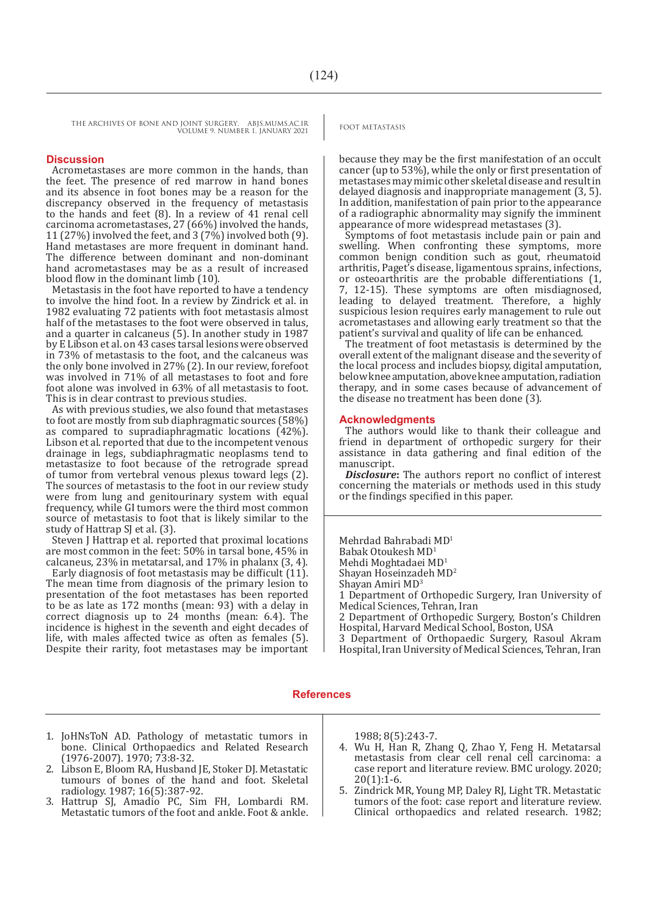THE ARCHIVES OF BONE AND JOINT SURGERY. ABJS.MUMS.AC.IR<br>
FOOT METASTASIS VOLUME 9. NUMBER 1. JANUARY 2021

### **Discussion**

Acrometastases are more common in the hands, than the feet. The presence of red marrow in hand bones and its absence in foot bones may be a reason for the discrepancy observed in the frequency of metastasis to the hands and feet (8). In a review of 41 renal cell carcinoma acrometastases, 27 (66%) involved the hands, 11 (27%) involved the feet, and  $3(7\%)$  involved both  $(9)$ . Hand metastases are more frequent in dominant hand. The difference between dominant and non-dominant hand acrometastases may be as a result of increased blood flow in the dominant limb (10).

Metastasis in the foot have reported to have a tendency to involve the hind foot. In a review by Zindrick et al. in 1982 evaluating 72 patients with foot metastasis almost half of the metastases to the foot were observed in talus, and a quarter in calcaneus (5). In another study in 1987 by E Libson et al. on 43 cases tarsal lesions were observed in 73% of metastasis to the foot, and the calcaneus was the only bone involved in 27% (2). In our review, forefoot was involved in 71% of all metastases to foot and fore foot alone was involved in 63% of all metastasis to foot. This is in clear contrast to previous studies.

As with previous studies, we also found that metastases to foot are mostly from sub diaphragmatic sources (58%) as compared to supradiaphragmatic locations (42%). Libson et al. reported that due to the incompetent venous drainage in legs, subdiaphragmatic neoplasms tend to metastasize to foot because of the retrograde spread of tumor from vertebral venous plexus toward legs (2). The sources of metastasis to the foot in our review study were from lung and genitourinary system with equal frequency, while GI tumors were the third most common source of metastasis to foot that is likely similar to the study of Hattrap SJ et al. (3).

Steven J Hattrap et al. reported that proximal locations are most common in the feet: 50% in tarsal bone, 45% in calcaneus, 23% in metatarsal, and 17% in phalanx (3, 4).

Early diagnosis of foot metastasis may be difficult (11). The mean time from diagnosis of the primary lesion to presentation of the foot metastases has been reported to be as late as 172 months (mean: 93) with a delay in correct diagnosis up to 24 months (mean: 6.4). The incidence is highest in the seventh and eight decades of life, with males affected twice as often as females (5). Despite their rarity, foot metastases may be important

because they may be the first manifestation of an occult cancer (up to 53%), while the only or first presentation of metastases may mimic other skeletal disease and result in delayed diagnosis and inappropriate management (3, 5). In addition, manifestation of pain prior to the appearance of a radiographic abnormality may signify the imminent appearance of more widespread metastases (3).

Symptoms of foot metastasis include pain or pain and swelling. When confronting these symptoms, more common benign condition such as gout, rheumatoid arthritis, Paget's disease, ligamentous sprains, infections, or osteoarthritis are the probable differentiations (1, 7, 12-15). These symptoms are often misdiagnosed, leading to delayed treatment. Therefore, a highly suspicious lesion requires early management to rule out acrometastases and allowing early treatment so that the patient's survival and quality of life can be enhanced.

The treatment of foot metastasis is determined by the overall extent of the malignant disease and the severity of the local process and includes biopsy, digital amputation, below knee amputation, above knee amputation, radiation therapy, and in some cases because of advancement of the disease no treatment has been done (3).

#### **Acknowledgments**

The authors would like to thank their colleague and friend in department of orthopedic surgery for their assistance in data gathering and final edition of the manuscript.

*Disclosure***:** The authors report no conflict of interest concerning the materials or methods used in this study or the findings specified in this paper.

Mehrdad Bahrabadi MD<sup>1</sup> Babak Otoukesh MD1 Mehdi Moghtadaei MD<sup>1</sup> Shayan Hoseinzadeh MD2 Shayan Amiri MD<sup>3</sup> 1 Department of Orthopedic Surgery, Iran University of Medical Sciences, Tehran, Iran 2 Department of Orthopedic Surgery, Boston's Children Hospital, Harvard Medical School, Boston, USA 3 Department of Orthopaedic Surgery, Rasoul Akram

Hospital, Iran University of Medical Sciences, Tehran, Iran

#### **References**

- 1. JoHNsToN AD. Pathology of metastatic tumors in bone. Clinical Orthopaedics and Related Research (1976-2007). 1970; 73:8-32.
- 2. Libson E. Bloom RA, Husband JE, Stoker DJ, Metastatic tumours of bones of the hand and foot. Skeletal radiology. 1987; 16(5):387-92.
- 3. Hattrup SJ, Amadio PC, Sim FH, Lombardi RM. Metastatic tumors of the foot and ankle. Foot & ankle.

1988; 8(5):243-7.

- 4. Wu H, Han R, Zhang Q, Zhao Y, Feng H. Metatarsal metastasis from clear cell renal cell carcinoma: a case report and literature review. BMC urology. 2020;  $20(1):1-6.$
- 5. Zindrick MR, Young MP, Daley RJ, Light TR. Metastatic tumors of the foot: case report and literature review. Clinical orthopaedics and related research. 1982;